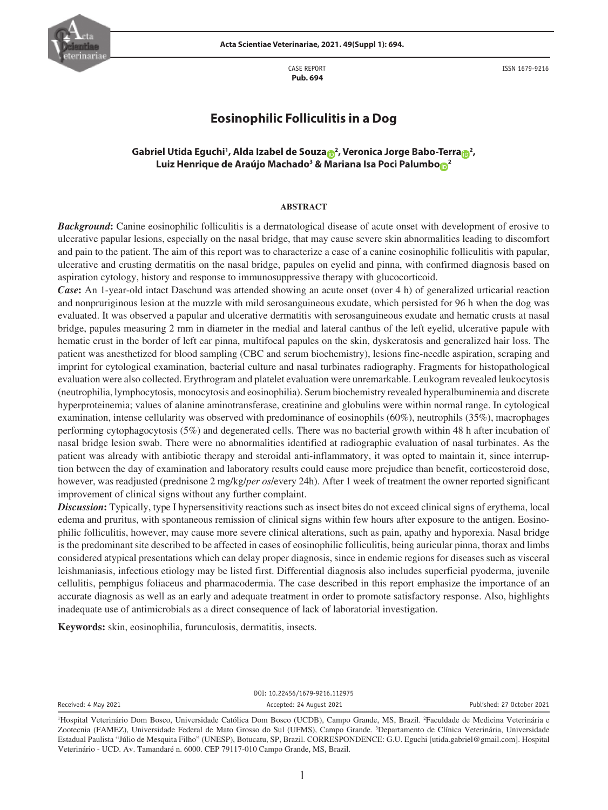

CASE REPORT  **Pub. 694**

ISSN 1679-9216

# **Eosinophilic Folliculitis in a Dog**

## $\sigma$  $\sigma$ Gabriel Utida Eguchi<sup>1</sup>, Alda Izabel de Souza $\sigma$ <sup>2</sup>, Veronica Jorge Babo-Terra $\sigma$ <sup>2</sup>, **Luiz Henrique de Araújo Machado3 & [Ma](https://orcid.org/0000-0002-8372-6047)riana Isa Poci Palumb[o](https://orcid.org/0000-0002-0919-5057) <sup>2</sup>**

## **ABSTRACT**

*Background***:** Canine eosinophilic folliculitis is a dermatological disease of acute onset with development of erosive to ulcerative papular lesions, especially on the nasal bridge, that may cause severe skin abnormalities leading to discomfort and pain to the patient. The aim of this report was to characterize a case of a canine eosinophilic folliculitis with papular, ulcerative and crusting dermatitis on the nasal bridge, papules on eyelid and pinna, with confirmed diagnosis based on aspiration cytology, history and response to immunosuppressive therapy with glucocorticoid.

*Case***:** An 1-year-old intact Daschund was attended showing an acute onset (over 4 h) of generalized urticarial reaction and nonpruriginous lesion at the muzzle with mild serosanguineous exudate, which persisted for 96 h when the dog was evaluated. It was observed a papular and ulcerative dermatitis with serosanguineous exudate and hematic crusts at nasal bridge, papules measuring 2 mm in diameter in the medial and lateral canthus of the left eyelid, ulcerative papule with hematic crust in the border of left ear pinna, multifocal papules on the skin, dyskeratosis and generalized hair loss. The patient was anesthetized for blood sampling (CBC and serum biochemistry), lesions fine-needle aspiration, scraping and imprint for cytological examination, bacterial culture and nasal turbinates radiography. Fragments for histopathological evaluation were also collected. Erythrogram and platelet evaluation were unremarkable. Leukogram revealed leukocytosis (neutrophilia, lymphocytosis, monocytosis and eosinophilia). Serum biochemistry revealed hyperalbuminemia and discrete hyperproteinemia; values of alanine aminotransferase, creatinine and globulins were within normal range. In cytological examination, intense cellularity was observed with predominance of eosinophils (60%), neutrophils (35%), macrophages performing cytophagocytosis (5%) and degenerated cells. There was no bacterial growth within 48 h after incubation of nasal bridge lesion swab. There were no abnormalities identified at radiographic evaluation of nasal turbinates. As the patient was already with antibiotic therapy and steroidal anti-inflammatory, it was opted to maintain it, since interruption between the day of examination and laboratory results could cause more prejudice than benefit, corticosteroid dose, however, was readjusted (prednisone 2 mg/kg/*per os*/every 24h). After 1 week of treatment the owner reported significant improvement of clinical signs without any further complaint.

*Discussion***:** Typically, type I hypersensitivity reactions such as insect bites do not exceed clinical signs of erythema, local edema and pruritus, with spontaneous remission of clinical signs within few hours after exposure to the antigen. Eosinophilic folliculitis, however, may cause more severe clinical alterations, such as pain, apathy and hyporexia. Nasal bridge is the predominant site described to be affected in cases of eosinophilic folliculitis, being auricular pinna, thorax and limbs considered atypical presentations which can delay proper diagnosis, since in endemic regions for diseases such as visceral leishmaniasis, infectious etiology may be listed first. Differential diagnosis also includes superficial pyoderma, juvenile cellulitis, pemphigus foliaceus and pharmacodermia. The case described in this report emphasize the importance of an accurate diagnosis as well as an early and adequate treatment in order to promote satisfactory response. Also, highlights inadequate use of antimicrobials as a direct consequence of lack of laboratorial investigation.

**Keywords:** skin, eosinophilia, furunculosis, dermatitis, insects.

DOI: 10.22456/1679-9216.112975 Received: 4 May 2021 Accepted: 24 August 2021 Published: 27 October 2021

<sup>1</sup> Hospital Veterinário Dom Bosco, Universidade Católica Dom Bosco (UCDB), Campo Grande, MS, Brazil. 2 Faculdade de Medicina Veterinária e Zootecnia (FAMEZ), Universidade Federal de Mato Grosso do Sul (UFMS), Campo Grande. <sup>3</sup>Departamento de Clínica Veterinária, Universidade Estadual Paulista "Júlio de Mesquita Filho" (UNESP), Botucatu, SP, Brazil. CORRESPONDENCE: G.U. Eguchi [utida.gabriel@gmail.com]. Hospital Veterinário - UCD. Av. Tamandaré n. 6000. CEP 79117-010 Campo Grande, MS, Brazil.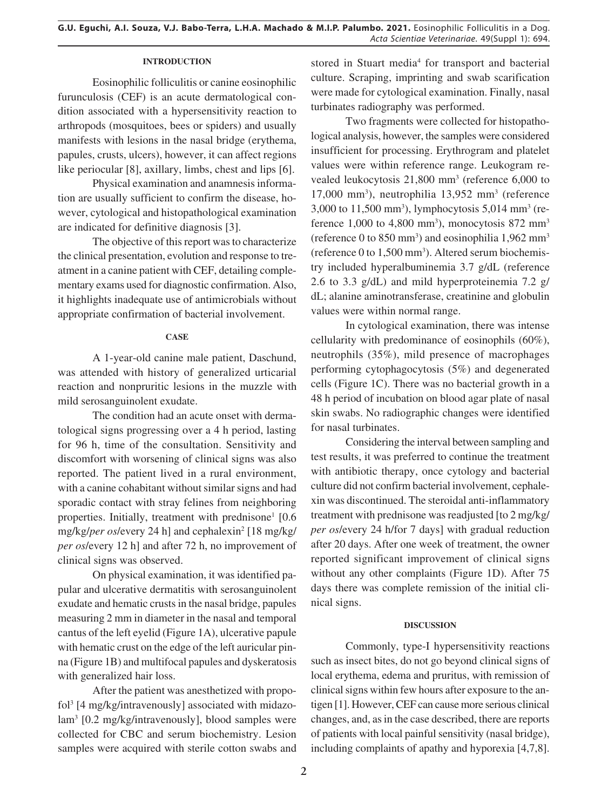## **INTRODUCTION**

Eosinophilic folliculitis or canine eosinophilic furunculosis (CEF) is an acute dermatological condition associated with a hypersensitivity reaction to arthropods (mosquitoes, bees or spiders) and usually manifests with lesions in the nasal bridge (erythema, papules, crusts, ulcers), however, it can affect regions like periocular [8], axillary, limbs, chest and lips [6].

Physical examination and anamnesis information are usually sufficient to confirm the disease, however, cytological and histopathological examination are indicated for definitive diagnosis [3].

The objective of this report was to characterize the clinical presentation, evolution and response to treatment in a canine patient with CEF, detailing complementary exams used for diagnostic confirmation. Also, it highlights inadequate use of antimicrobials without appropriate confirmation of bacterial involvement.

#### **CASE**

A 1-year-old canine male patient, Daschund, was attended with history of generalized urticarial reaction and nonpruritic lesions in the muzzle with mild serosanguinolent exudate.

The condition had an acute onset with dermatological signs progressing over a 4 h period, lasting for 96 h, time of the consultation. Sensitivity and discomfort with worsening of clinical signs was also reported. The patient lived in a rural environment, with a canine cohabitant without similar signs and had sporadic contact with stray felines from neighboring properties. Initially, treatment with prednisone<sup>1</sup>  $[0.6]$ mg/kg/*per os*/every 24 h] and cephalexin2 [18 mg/kg/ *per os*/every 12 h] and after 72 h, no improvement of clinical signs was observed.

On physical examination, it was identified papular and ulcerative dermatitis with serosanguinolent exudate and hematic crusts in the nasal bridge, papules measuring 2 mm in diameter in the nasal and temporal cantus of the left eyelid (Figure 1A), ulcerative papule with hematic crust on the edge of the left auricular pinna (Figure 1B) and multifocal papules and dyskeratosis with generalized hair loss.

After the patient was anesthetized with propofol3 [4 mg/kg/intravenously] associated with midazolam3 [0.2 mg/kg/intravenously], blood samples were collected for CBC and serum biochemistry. Lesion samples were acquired with sterile cotton swabs and

stored in Stuart media<sup>4</sup> for transport and bacterial culture. Scraping, imprinting and swab scarification were made for cytological examination. Finally, nasal turbinates radiography was performed.

Two fragments were collected for histopathological analysis, however, the samples were considered insufficient for processing. Erythrogram and platelet values were within reference range. Leukogram revealed leukocytosis 21,800 mm3 (reference 6,000 to 17,000 mm3 ), neutrophilia 13,952 mm3 (reference 3,000 to 11,500 mm<sup>3</sup>), lymphocytosis 5,014 mm<sup>3</sup> (reference  $1,000$  to  $4,800$  mm<sup>3</sup>), monocytosis  $872$  mm<sup>3</sup> (reference 0 to  $850 \text{ mm}^3$ ) and eosinophilia 1,962 mm<sup>3</sup> (reference 0 to 1,500 mm3 ). Altered serum biochemistry included hyperalbuminemia 3.7 g/dL (reference 2.6 to 3.3 g/dL) and mild hyperproteinemia 7.2 g/ dL; alanine aminotransferase, creatinine and globulin values were within normal range.

In cytological examination, there was intense cellularity with predominance of eosinophils (60%), neutrophils (35%), mild presence of macrophages performing cytophagocytosis (5%) and degenerated cells (Figure 1C). There was no bacterial growth in a 48 h period of incubation on blood agar plate of nasal skin swabs. No radiographic changes were identified for nasal turbinates.

Considering the interval between sampling and test results, it was preferred to continue the treatment with antibiotic therapy, once cytology and bacterial culture did not confirm bacterial involvement, cephalexin was discontinued. The steroidal anti-inflammatory treatment with prednisone was readjusted [to 2 mg/kg/ *per os*/every 24 h/for 7 days] with gradual reduction after 20 days. After one week of treatment, the owner reported significant improvement of clinical signs without any other complaints (Figure 1D). After 75 days there was complete remission of the initial clinical signs.

#### **DISCUSSION**

Commonly, type-I hypersensitivity reactions such as insect bites, do not go beyond clinical signs of local erythema, edema and pruritus, with remission of clinical signs within few hours after exposure to the antigen [1]. However, CEF can cause more serious clinical changes, and, as in the case described, there are reports of patients with local painful sensitivity (nasal bridge), including complaints of apathy and hyporexia [4,7,8].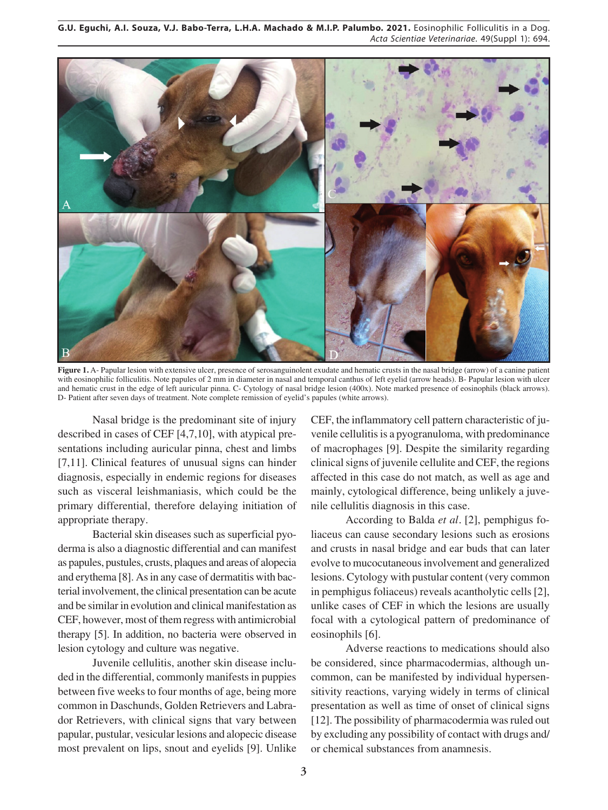**G.U. Eguchi, A.I. Souza, V.J. Babo-Terra, L.H.A. Machado & M.I.P. Palumbo. 2021.** Eosinophilic Folliculitis in a Dog. *Acta Scientiae Veterinariae*. 49(Suppl 1): 694.



**Figure 1.** A- Papular lesion with extensive ulcer, presence of serosanguinolent exudate and hematic crusts in the nasal bridge (arrow) of a canine patient with eosinophilic folliculitis. Note papules of 2 mm in diameter in nasal and temporal canthus of left eyelid (arrow heads). B- Papular lesion with ulcer and hematic crust in the edge of left auricular pinna. C- Cytology of nasal bridge lesion (400x). Note marked presence of eosinophils (black arrows). D- Patient after seven days of treatment. Note complete remission of eyelid's papules (white arrows).

Nasal bridge is the predominant site of injury described in cases of CEF [4,7,10], with atypical presentations including auricular pinna, chest and limbs [7,11]. Clinical features of unusual signs can hinder diagnosis, especially in endemic regions for diseases such as visceral leishmaniasis, which could be the primary differential, therefore delaying initiation of appropriate therapy.

Bacterial skin diseases such as superficial pyoderma is also a diagnostic differential and can manifest as papules, pustules, crusts, plaques and areas of alopecia and erythema [8]. As in any case of dermatitis with bacterial involvement, the clinical presentation can be acute and be similar in evolution and clinical manifestation as CEF, however, most of them regress with antimicrobial therapy [5]. In addition, no bacteria were observed in lesion cytology and culture was negative.

Juvenile cellulitis, another skin disease included in the differential, commonly manifests in puppies between five weeks to four months of age, being more common in Daschunds, Golden Retrievers and Labrador Retrievers, with clinical signs that vary between papular, pustular, vesicular lesions and alopecic disease most prevalent on lips, snout and eyelids [9]. Unlike CEF, the inflammatory cell pattern characteristic of juvenile cellulitis is a pyogranuloma, with predominance of macrophages [9]. Despite the similarity regarding clinical signs of juvenile cellulite and CEF, the regions affected in this case do not match, as well as age and mainly, cytological difference, being unlikely a juvenile cellulitis diagnosis in this case.

According to Balda *et al.* [2], pemphigus foliaceus can cause secondary lesions such as erosions and crusts in nasal bridge and ear buds that can later evolve to mucocutaneous involvement and generalized lesions. Cytology with pustular content (very common in pemphigus foliaceus) reveals acantholytic cells [2], unlike cases of CEF in which the lesions are usually focal with a cytological pattern of predominance of eosinophils [6].

Adverse reactions to medications should also be considered, since pharmacodermias, although uncommon, can be manifested by individual hypersensitivity reactions, varying widely in terms of clinical presentation as well as time of onset of clinical signs [12]. The possibility of pharmacodermia was ruled out by excluding any possibility of contact with drugs and/ or chemical substances from anamnesis.